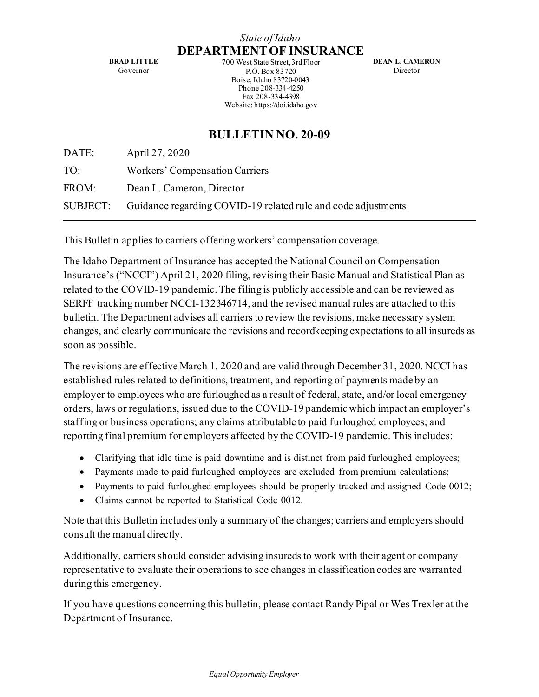## *State of Idaho* **DEPARTMENT OF INSURANCE**

**BRAD LITTLE** Governor

700 West State Street, 3rd Floor P.O. Box 83720 Boise, Idaho 83720-0043 Phone 208-334-4250 Fax 208-334-4398 Website: https://doi.idaho.gov

**DEAN L. CAMERON** Director

# **BULLETIN NO. 20-09**

| DATE: | April 27, 2020                                                         |
|-------|------------------------------------------------------------------------|
| TO:   | Workers' Compensation Carriers                                         |
| FROM: | Dean L. Cameron, Director                                              |
|       | SUBJECT: Guidance regarding COVID-19 related rule and code adjustments |

This Bulletin applies to carriers offering workers' compensation coverage.

The Idaho Department of Insurance has accepted the National Council on Compensation Insurance's ("NCCI") April 21, 2020 filing, revising their Basic Manual and Statistical Plan as related to the COVID-19 pandemic.The filing is publicly accessible and can be reviewed as SERFF tracking number NCCI-132346714, and the revised manual rules are attached to this bulletin. The Department advises all carriers to review the revisions, make necessary system changes, and clearly communicate the revisions and recordkeeping expectations to all insureds as soon as possible.

The revisions are effective March 1, 2020 and are valid through December 31, 2020. NCCI has established rules related to definitions, treatment, and reporting of payments made by an employer to employees who are furloughed as a result of federal, state, and/or local emergency orders, laws or regulations, issued due to the COVID-19 pandemic which impact an employer's staffing or business operations; any claims attributable to paid furloughed employees; and reporting final premium for employers affected by the COVID-19 pandemic. This includes:

- Clarifying that idle time is paid downtime and is distinct from paid furloughed employees;
- Payments made to paid furloughed employees are excluded from premium calculations;
- Payments to paid furloughed employees should be properly tracked and assigned Code 0012;
- Claims cannot be reported to Statistical Code 0012.

Note that this Bulletin includes only a summary of the changes; carriers and employers should consult the manual directly.

Additionally, carriers should consider advising insureds to work with their agent or company representative to evaluate their operations to see changes in classification codes are warranted during this emergency.

If you have questions concerning this bulletin, please contact Randy Pipal or Wes Trexler at the Department of Insurance.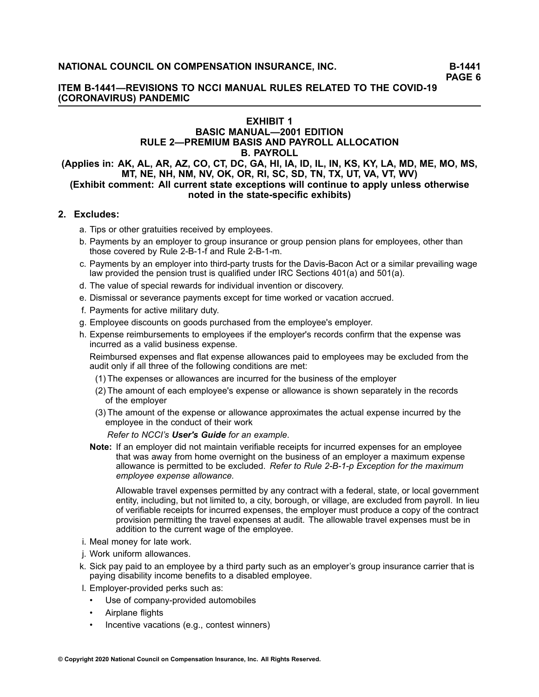## **ITEM B-1441—REVISIONS TO NCCI MANUAL RULES RELATED TO THE COVID-19 (CORONAVIRUS) PANDEMIC**

## **EXHIBIT <sup>1</sup> BASIC MANUAL—2001 EDITION RULE 2—PREMIUM BASIS AND PAYROLL ALLOCATION B. PAYROLL**

### (Applies in: AK, AL, AR, AZ, CO, CT, DC, GA, HI, IA, ID, IL, IN, KS, KY, LA, MD, ME, MO, MS, MT, NE, NH, NM, NV, OK, OR, RI, SC, SD, TN, TX, UT, VA, VT, WV) (Exhibit comment: All current state exceptions will continue to apply unless otherwise **noted in the state-specific exhibits)**

## **2. Excludes:**

- a. Tips or other gratuities received by employees.
- b. Payments by an employer to group insurance or group pension plans for employees, other than those covered by Rule 2-B-1-f and Rule 2-B-1-m.
- c. Payments by an employer into third-party trusts for the Davis-Bacon Act or <sup>a</sup> similar prevailing wage law provided the pension trust is qualified under IRC Sections 401(a) and 501(a).
- d. The value of special rewards for individual invention or discovery.
- e. Dismissal or severance payments except for time worked or vacation accrued.
- f. Payments for active military duty.
- g. Employee discounts on goods purchased from the employee's employer.
- h. Expense reimbursements to employees if the employer's records confirm that the expense was incurred as <sup>a</sup> valid business expense.

Reimbursed expenses and flat expense allowances paid to employees may be excluded from the audit only if all three of the following conditions are met:

- (1) The expenses or allowances are incurred for the business of the employer
- (2) The amount of each employee's expense or allowance is shown separately in the records of the employer
- (3) The amount of the expense or allowance approximates the actual expense incurred by the employee in the conduct of their work

*Refer to NCCI's User's Guide for an example*.

**Note:** If an employer did not maintain verifiable receipts for incurred expenses for an employee that was away from home overnight on the business of an employer <sup>a</sup> maximum expense allowance is permitted to be excluded. *Refer to Rule 2-B-1-p Exception for the maximum employee expense allowance.*

Allowable travel expenses permitted by any contract with <sup>a</sup> federal, state, or local government entity, including, but not limited to, <sup>a</sup> city, borough, or village, are excluded from payroll. In lieu of verifiable receipts for incurred expenses, the employer must produce <sup>a</sup> copy of the contract provision permitting the travel expenses at audit. The allowable travel expenses must be in addition to the current wage of the employee.

- i. Meal money for late work.
- j. Work uniform allowances.
- k. Sick pay paid to an employee by <sup>a</sup> third party such as an employer's group insurance carrier that is paying disability income benefits to <sup>a</sup> disabled employee.
- l. Employer-provided perks such as:
	- •Use of company-provided automobiles
	- •Airplane flights
	- •Incentive vacations (e.g., contest winners)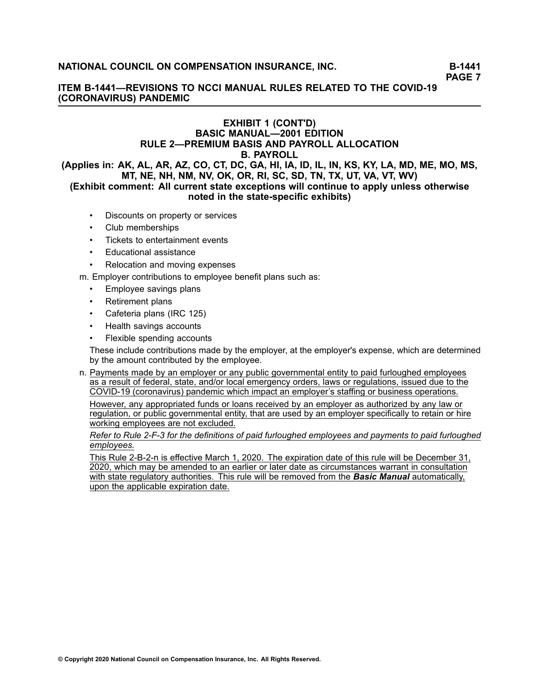## **ITEM B-1441—REVISIONS TO NCCI MANUAL RULES RELATED TO THE COVID-19 (CORONAVIRUS) PANDEMIC**

## **EXHIBIT <sup>1</sup> (CONT'D) BASIC MANUAL—2001 EDITION RULE 2—PREMIUM BASIS AND PAYROLL ALLOCATION B. PAYROLL** (Applies in: AK, AL, AR, AZ, CO, CT, DC, GA, HI, IA, ID, IL, IN, KS, KY, LA, MD, ME, MO, MS,

MT, NE, NH, NM, NV, OK, OR, RI, SC, SD, TN, TX, UT, VA, VT, WV) (Exhibit comment: All current state exceptions will continue to apply unless otherwise **noted in the state-specific exhibits)**

- •Discounts on property or services
- •Club memberships
- •Tickets to entertainment events
- •Educational assistance
- •Relocation and moving expenses

m. Employer contributions to employee benefit plans such as:

- •Employee savings plans
- •Retirement plans
- •Cafeteria plans (IRC 125)
- •Health savings accounts
- •Flexible spending accounts

These include contributions made by the employer, at the employer's expense, which are determined by the amount contributed by the employee.

n. Payments made by an employer or any public governmental entity to paid furloughed employees as <sup>a</sup> result of federal, state, and/or local emergency orders, laws or regulations, issued due to the COVID-19 (coronavirus) pandemic which impact an employer's staffing or business operations.

However, any appropriated funds or loans received by an employer as authorized by any law or regulation, or public governmental entity, that are used by an employer specifically to retain or hire working employees are not excluded.

#### Refer to Rule 2-F-3 for the definitions of paid furloughed employees and payments to paid furloughed *employees.*

This Rule 2-B-2-n is effective March 1, 2020. The expiration date of this rule will be December 31, 2020, which may be amended to an earlier or later date as circumstances warrant in consultation with state regulatory authorities. This rule will be removed from the *Basic Manual* automatically, upon the applicable expiration date.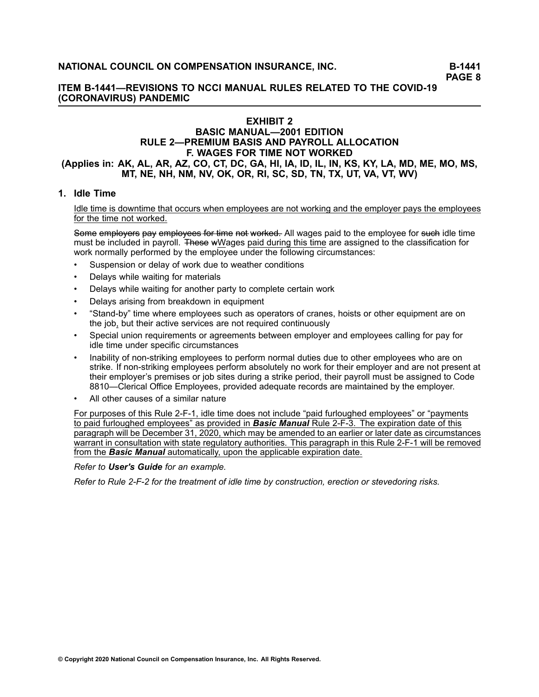## **ITEM B-1441—REVISIONS TO NCCI MANUAL RULES RELATED TO THE COVID-19 (CORONAVIRUS) PANDEMIC**

# **EXHIBIT <sup>2</sup>**

## **BASIC MANUAL—2001 EDITION RULE 2—PREMIUM BASIS AND PAYROLL ALLOCATION F. WAGES FOR TIME NOT WORKED** (Applies in: AK, AL, AR, AZ, CO, CT, DC, GA, HI, IA, ID, IL, IN, KS, KY, LA, MD, ME, MO, MS, MT, NE, NH, NM, NV, OK, OR, RI, SC, SD, TN, TX, UT, VA, VT, WV)

## **1. Idle Time**

#### Idle time is downtime that occurs when employees are not working and the employer pays the employees for the time not worked.

Some employers pay employees for time not worked. All wages paid to the employee for such idle time must be included in [payroll](/manuscript/hyperlink.asp?docid=Glossary-Payroll&manualtitle=glossary). These wWages paid during this time are assigned to the classification for work normally performed by the employee under the following circumstances:

- •Suspension or delay of work due to weather conditions
- •Delays while waiting for materials
- •Delays while waiting for another party to complete certain work
- •Delays arising from breakdown in equipment
- • "Stand-by" time where employees such as operators of cranes, hoists or other equipment are on the job, but their active services are not required continuously
- • Special union requirements or agreements between employer and employees calling for pay for idle time under specific circumstances
- • Inability of non-striking employees to perform normal duties due to other employees who are on strike. If non-striking employees perform absolutely no work for their employer and are not present at their employer's premises or job sites during <sup>a</sup> strike period, their payroll must be assigned to Code [8810](/manuscript/hyperlink.asp?docid=8810&manualtitle=scopesxml )—Clerical Office Employees, provided adequate records are maintained by the employer.
- •All other causes of <sup>a</sup> similar nature

For purposes of this Rule 2-F-1, idle time does not include "paid furloughed employees" or "payments to paid furloughed employees" as provided in *Basic Manual* Rule 2-F-3. The expiration date of this paragraph will be December 31, 2020, which may be amended to an earlier or later date as circumstances warrant in consultation with state regulatory authorities. This paragraph in this Rule 2-F-1 will be removed from the *Basic Manual* automatically, upon the applicable expiration date.

#### *Refer to [User's](/manuscript/hyperlink.asp?docid=UsersGuide-G-Examples-Rule2-F-1) Guide for an example.*

Refer to Rule [2-F-2](/manuscript/hyperlink.asp?docid=Basic2001rule2-F) for the treatment of idle time by construction, erection or stevedoring risks.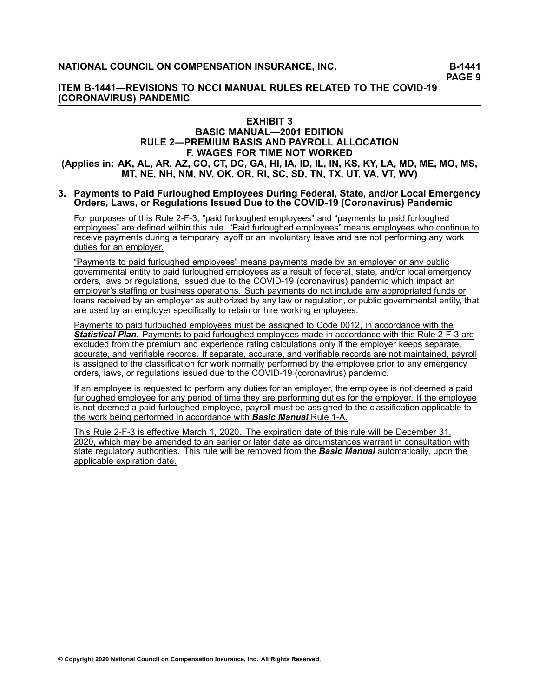## **ITEM B-1441—REVISIONS TO NCCI MANUAL RULES RELATED TO THE COVID-19 (CORONAVIRUS) PANDEMIC**

#### **EXHIBIT <sup>3</sup> BASIC MANUAL—2001 EDITION RULE 2—PREMIUM BASIS AND PAYROLL ALLOCATION F. WAGES FOR TIME NOT WORKED** (Applies in: AK, AL, AR, AZ, CO, CT, DC, GA, HI, IA, ID, IL, IN, KS, KY, LA, MD, ME, MO, MS, MT, NE, NH, NM, NV, OK, OR, RI, SC, SD, TN, TX, UT, VA, VT, WV)

#### 3. Payments to Paid Furloughed Employees During Federal, State, and/or Local Emergency Orders, Laws, or Regulations Issued Due to the COVID-19 (Coronavirus) Pandemic

For purposes of this Rule 2-F-3, "paid furloughed employees" and "payments to paid furloughed employees" are defined within this rule. "Paid furloughed employees" means employees who continue to receive payments during <sup>a</sup> temporary layoff or an involuntary leave and are not performing any work duties for an employer.

"Payments to paid furloughed employees" means payments made by an employer or any public governmental entity to paid furloughed employees as <sup>a</sup> result of federal, state, and/or local emergency orders, laws or regulations, issued due to the COVID-19 (coronavirus) pandemic which impact an employer's staffing or business operations. Such payments do not include any appropriated funds or loans received by an employer as authorized by any law or regulation, or public governmental entity, that are used by an employer specifically to retain or hire working employees.

Payments to paid furloughed employees must be assigned to Code 0012, in accordance with the *Statistical Plan*. Payments to paid furloughed employees made in accordance with this Rule 2-F-3 are excluded from the premium and experience rating calculations only if the employer keeps separate, accurate, and verifiable records. If separate, accurate, and verifiable records are not maintained, payroll is assigned to the classification for work normally performed by the employee prior to any emergency orders, laws, or regulations issued due to the COVID-19 (coronavirus) pandemic.

If an employee is requested to perform any duties for an employer, the employee is not deemed <sup>a</sup> paid furloughed employee for any period of time they are performing duties for the employer. If the employee is not deemed <sup>a</sup> paid furloughed employee, payroll must be assigned to the classification applicable to the work being performed in accordance with *Basic Manual* Rule 1-A.

This Rule 2-F-3 is effective March 1, 2020. The expiration date of this rule will be December 31, 2020, which may be amended to an earlier or later date as circumstances warrant in consultation with state regulatory authorities. This rule will be removed from the *Basic Manual* automatically, upon the applicable expiration date.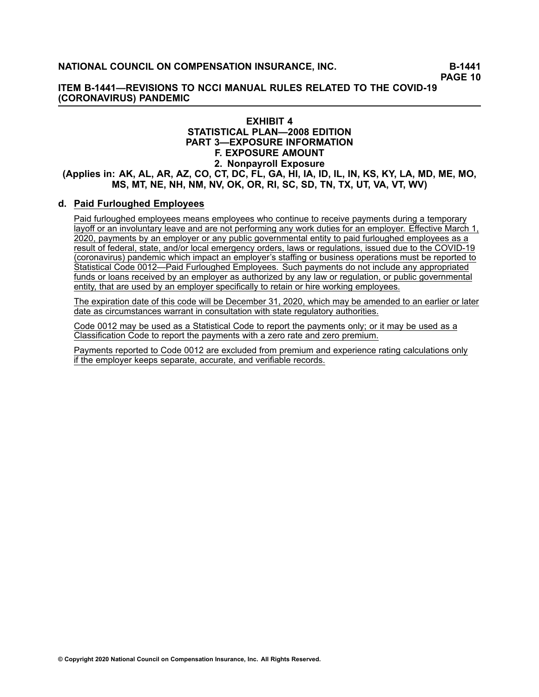## **ITEM B-1441—REVISIONS TO NCCI MANUAL RULES RELATED TO THE COVID-19 (CORONAVIRUS) PANDEMIC**

## **EXHIBIT <sup>4</sup> STATISTICAL PLAN—2008 EDITION PART 3—EXPOSURE INFORMATION F. EXPOSURE AMOUNT 2. Nonpayroll Exposure** (Applies in: AK, AL, AR, AZ, CO, CT, DC, FL, GA, HI, IA, ID, IL, IN, KS, KY, LA, MD, ME, MO, MS, MT, NE, NH, NM, NV, OK, OR, RI, SC, SD, TN, TX, UT, VA, VT, WV)

## **d. Paid Furloughed Employees**

Paid furloughed employees means employees who continue to receive payments during <sup>a</sup> temporary layoff or an involuntary leave and are not performing any work duties for an employer. Effective March 1, 2020, payments by an employer or any public governmental entity to paid furloughed employees as <sup>a</sup> result of federal, state, and/or local emergency orders, laws or regulations, issued due to the COVID-19 (coronavirus) pandemic which impact an employer's staffing or business operations must be reported to Statistical Code 0012—Paid Furloughed Employees. Such payments do not include any appropriated funds or loans received by an employer as authorized by any law or regulation, or public governmental entity, that are used by an employer specifically to retain or hire working employees.

The expiration date of this code will be December 31, 2020, which may be amended to an earlier or later date as circumstances warrant in consultation with state regulatory authorities.

Code <sup>0012</sup> may be used as <sup>a</sup> Statistical Code to report the payments only; or it may be used as <sup>a</sup> Classification Code to report the payments with <sup>a</sup> zero rate and zero premium.

Payments reported to Code <sup>0012</sup> are excluded from premium and experience rating calculations only if the employer keeps separate, accurate, and verifiable records.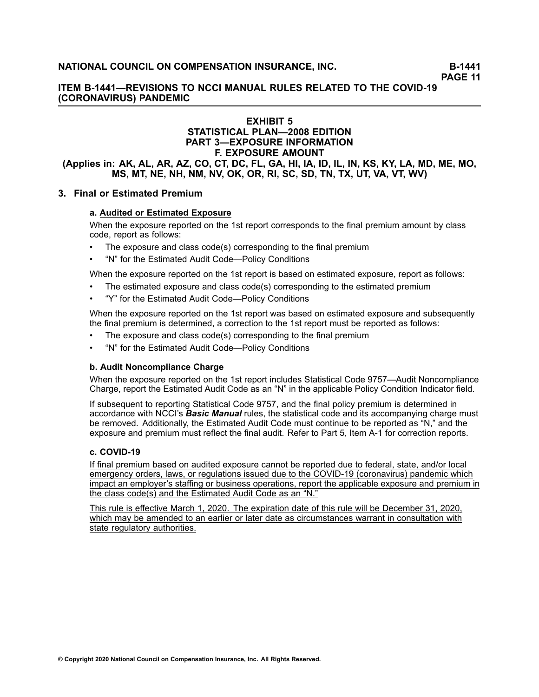## **ITEM B-1441—REVISIONS TO NCCI MANUAL RULES RELATED TO THE COVID-19 (CORONAVIRUS) PANDEMIC**

## **EXHIBIT <sup>5</sup> STATISTICAL PLAN—2008 EDITION PART 3—EXPOSURE INFORMATION F. EXPOSURE AMOUNT**

(Applies in: AK, AL, AR, AZ, CO, CT, DC, FL, GA, HI, IA, ID, IL, IN, KS, KY, LA, MD, ME, MO, MS, MT, NE, NH, NM, NV, OK, OR, RI, SC, SD, TN, TX, UT, VA, VT, WV)

## **3. Final or Estimated Premium**

#### **a. Audited or Estimated Exposure**

When the exposure reported on the 1st report corresponds to the final premium amount by class code, report as follows:

- •The exposure and class code(s) corresponding to the final premium
- •"N" for the Estimated Audit Code—Policy Conditions

When the exposure reported on the 1st report is based on estimated exposure, report as follows:

- •The estimated exposure and class code(s) corresponding to the estimated premium
- •"Y" for the Estimated Audit Code—Policy Conditions

When the exposure reported on the 1st report was based on estimated exposure and subsequently the final premium is determined, <sup>a</sup> correction to the 1st report must be reported as follows:

- •The exposure and class code(s) corresponding to the final premium
- •"N" for the Estimated Audit Code—Policy Conditions

#### **b. Audit Noncompliance Charge**

When the exposure reported on the 1st report includes Statistical Code 9757—Audit Noncompliance Charge, report the Estimated Audit Code as an "N" in the applicable Policy Condition Indicator field.

If subsequent to reporting Statistical Code 9757, and the final policy premium is determined in accordance with NCCI's *Basic Manual* rules, the statistical code and its accompanying charge must be removed. Additionally, the Estimated Audit Code must continue to be reported as "N," and the exposure and premium must reflect the final audit. Refer to Part 5, Item A-1 for correction reports.

#### **c. COVID-19**

If final premium based on audited exposure cannot be reported due to federal, state, and/or local emergency orders, laws, or regulations issued due to the COVID-19 (coronavirus) pandemic which impact an employer's staffing or business operations, report the applicable exposure and premium in the class code(s) and the Estimated Audit Code as an "N."

This rule is effective March 1, 2020. The expiration date of this rule will be December 31, 2020, which may be amended to an earlier or later date as circumstances warrant in consultation with state regulatory authorities.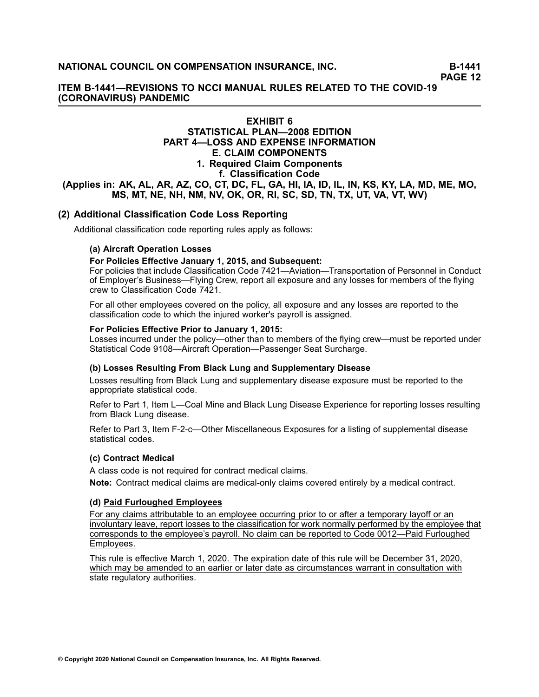## **ITEM B-1441—REVISIONS TO NCCI MANUAL RULES RELATED TO THE COVID-19 (CORONAVIRUS) PANDEMIC**

## **EXHIBIT <sup>6</sup> STATISTICAL PLAN—2008 EDITION PART 4—LOSS AND EXPENSE INFORMATION E. CLAIM COMPONENTS 1. Required Claim Components f. Classification Code** (Applies in: AK, AL, AR, AZ, CO, CT, DC, FL, GA, HI, IA, ID, IL, IN, KS, KY, LA, MD, ME, MO, MS, MT, NE, NH, NM, NV, OK, OR, RI, SC, SD, TN, TX, UT, VA, VT, WV)

## **(2) Additional Classification Code Loss Reporting**

Additional classification code reporting rules apply as follows:

#### **(a) Aircraft Operation Losses**

#### **For Policies Effective January 1, 2015, and Subsequent:**

For policies that include Classification Code 7421—Aviation—Transportation of Personnel in Conduct of Employer's Business—Flying Crew, report all exposure and any losses for members of the flying crew to Classification Code 7421.

For all other employees covered on the policy, all exposure and any losses are reported to the classification code to which the injured worker's payroll is assigned.

#### **For Policies Effective Prior to January 1, 2015:**

Losses incurred under the policy—other than to members of the flying crew—must be reported under Statistical Code 9108—Aircraft Operation—Passenger Seat Surcharge.

## **(b) Losses Resulting From Black Lung and Supplementary Disease**

Losses resulting from Black Lung and supplementary disease exposure must be reported to the appropriate statistical code.

Refer to Part 1, Item L—Coal Mine and Black Lung Disease Experience for reporting losses resulting from Black Lung disease.

Refer to Part 3, Item F-2-c—Other Miscellaneous Exposures for <sup>a</sup> listing of supplemental disease statistical codes.

#### **(c) Contract Medical**

<sup>A</sup> class code is not required for contract medical claims.

**Note:** Contract medical claims are medical-only claims covered entirely by <sup>a</sup> medical contract.

#### **(d) Paid Furloughed Employees**

For any claims attributable to an employee occurring prior to or after <sup>a</sup> temporary layoff or an involuntary leave, report losses to the classification for work normally performed by the employee that corresponds to the employee's payroll. No claim can be reported to Code 0012—Paid Furloughed Employees.

This rule is effective March 1, 2020. The expiration date of this rule will be December 31, 2020, which may be amended to an earlier or later date as circumstances warrant in consultation with state regulatory authorities.